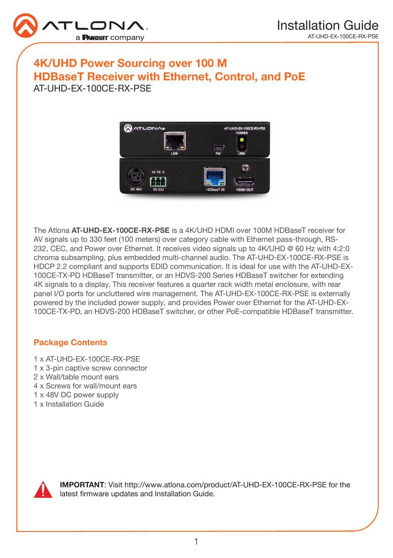

# 4K/UHD Power Sourcing over 100 M HDBaseT Receiver with Ethernet, Control, and PoE AT-UHD-EX-100CE-RX-PSE



The Atlona **AT-UHD-EX-100CE-RX-PSE** is a 4K/UHD HDMI over 100M HDBaseT receiver for AV signals up to 330 feet (100 meters) over category cable with Ethernet pass-through, RS-232, CEC, and Power over Ethernet. It receives video signals up to 4K/UHD @ 60 Hz with 4:2:0 chroma subsampling, plus embedded multi-channel audio. The AT-UHD-EX-100CE-RX-PSE is HDCP 2.2 compliant and supports EDID communication. It is ideal for use with the AT-UHD-EX-100CE-TX-PD HDBaseT transmitter, or an HDVS-200 Series HDBaseT switcher for extending 4K signals to a display. This receiver features a quarter rack width metal enclosure, with rear panel I/O ports for uncluttered wire management. The AT-UHD-EX-100CE-RX-PSE is externally powered by the included power supply, and provides Power over Ethernet for the AT-UHD-EX-100CE-TX-PD, an HDVS-200 HDBaseT switcher, or other PoE-compatible HDBaseT transmitter.

#### Package Contents

- 1 x AT-UHD-EX-100CE-RX-PSE
- 1 x 3-pin captive screw connector
- 2 x Wall/table mount ears
- 4 x Screws for wall/mount ears
- 1 x 48V DC power supply
- 1 x Installation Guide



IMPORTANT: Visit http://www.atlona.com/product/AT-UHD-EX-100CE-RX-PSE for the latest firmware updates and Installation Guide.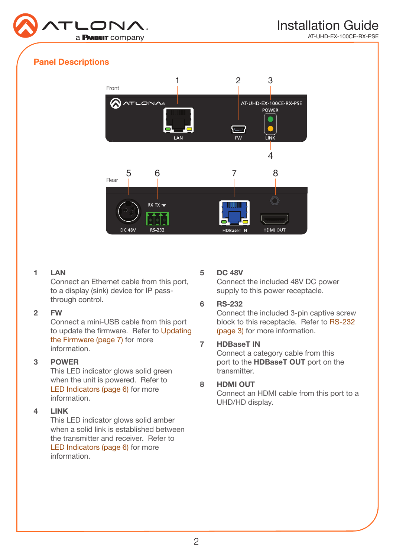

AT-UHD-EX-100CE-RX-PSE

### Panel Descriptions



#### 1 LAN

Connect an Ethernet cable from this port, to a display (sink) device for IP passthrough control.

#### 2 FW

Connect a mini-USB cable from this port to update the firmware. Refer to [Updating](#page-6-0)  [the Firmware \(page 7\)](#page-6-0) for more information.

#### 3 POWER

This LED indicator glows solid green when the unit is powered. Refer to [LED Indicators \(page 6\)](#page-5-0) for more information.

#### 4 LINK

This LED indicator glows solid amber when a solid link is established between the transmitter and receiver. Refer to [LED Indicators \(page 6\)](#page-5-0) for more information.

#### 5 DC 48V

Connect the included 48V DC power supply to this power receptacle.

#### 6 RS-232

Connect the included 3-pin captive screw block to this receptacle. Refer to [RS-232](#page-2-0)  [\(page 3\)](#page-2-0) for more information.

#### 7 HDBaseT IN

Connect a category cable from this port to the HDBaseT OUT port on the transmitter.

#### 8 HDMI OUT

Connect an HDMI cable from this port to a UHD/HD display.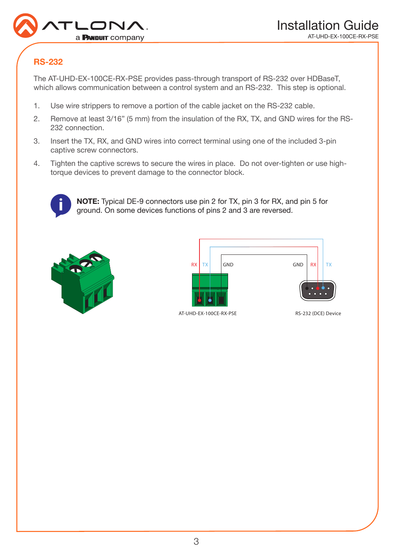

## <span id="page-2-0"></span>RS-232

The AT-UHD-EX-100CE-RX-PSE provides pass-through transport of RS-232 over HDBaseT, which allows communication between a control system and an RS-232. This step is optional.

- 1. Use wire strippers to remove a portion of the cable jacket on the RS-232 cable.
- 2. Remove at least 3/16" (5 mm) from the insulation of the RX, TX, and GND wires for the RS-232 connection.
- 3. Insert the TX, RX, and GND wires into correct terminal using one of the included 3-pin captive screw connectors.
- 4. Tighten the captive screws to secure the wires in place. Do not over-tighten or use hightorque devices to prevent damage to the connector block.



NOTE: Typical DE-9 connectors use pin 2 for TX, pin 3 for RX, and pin 5 for ground. On some devices functions of pins 2 and 3 are reversed.





AT-UHD-EX-100CE-RX-PSE RS-232 (DCE) Device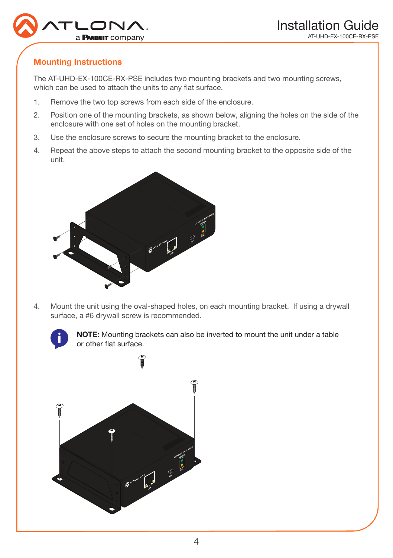

## Mounting Instructions

The AT-UHD-EX-100CE-RX-PSE includes two mounting brackets and two mounting screws, which can be used to attach the units to any flat surface.

- 1. Remove the two top screws from each side of the enclosure.
- 2. Position one of the mounting brackets, as shown below, aligning the holes on the side of the enclosure with one set of holes on the mounting bracket.
- 3. Use the enclosure screws to secure the mounting bracket to the enclosure.
- 4. Repeat the above steps to attach the second mounting bracket to the opposite side of the unit.



4. Mount the unit using the oval-shaped holes, on each mounting bracket. If using a drywall surface, a #6 drywall screw is recommended.



NOTE: Mounting brackets can also be inverted to mount the unit under a table or other flat surface.

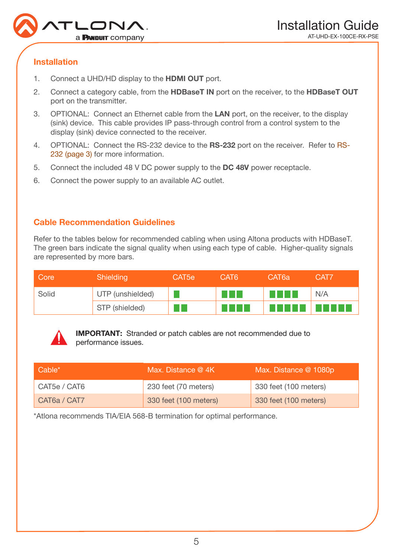

### Installation

- 1. Connect a UHD/HD display to the **HDMI OUT** port.
- 2. Connect a category cable, from the **HDBaseT IN** port on the receiver, to the **HDBaseT OUT** port on the transmitter.
- 3. OPTIONAL: Connect an Ethernet cable from the LAN port, on the receiver, to the display (sink) device. This cable provides IP pass-through control from a control system to the display (sink) device connected to the receiver.
- 4. OPTIONAL: Connect the RS-232 device to the **RS-232** port on the receiver. Refer to [RS-](#page-2-0)[232 \(page 3\)](#page-2-0) for more information.
- 5. Connect the included 48 V DC power supply to the DC 48V power receptacle.
- 6. Connect the power supply to an available AC outlet.

### Cable Recommendation Guidelines

Refer to the tables below for recommended cabling when using Altona products with HDBaseT. The green bars indicate the signal quality when using each type of cable. Higher-quality signals are represented by more bars.

| Core  | Shielding        | CAT <sub>5e</sub> | CAT6 | CAT6a | CAT7         |
|-------|------------------|-------------------|------|-------|--------------|
| Solid | UTP (unshielded) |                   |      |       | N/A          |
|       | STP (shielded)   |                   |      |       | $\mathbf{L}$ |



IMPORTANT: Stranded or patch cables are not recommended due to performance issues.

| Cable*       | Max. Distance @ 4K    | Max. Distance @ 1080p |
|--------------|-----------------------|-----------------------|
| CAT5e / CAT6 | 230 feet (70 meters)  | 330 feet (100 meters) |
| CAT6a / CAT7 | 330 feet (100 meters) | 330 feet (100 meters) |

\*Atlona recommends TIA/EIA 568-B termination for optimal performance.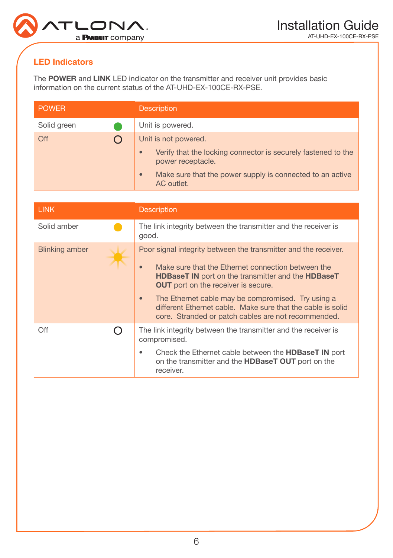

## <span id="page-5-0"></span>LED Indicators

The POWER and LINK LED indicator on the transmitter and receiver unit provides basic information on the current status of the AT-UHD-EX-100CE-RX-PSE.

| <b>POWER</b> | <b>Description</b>                                                                              |
|--------------|-------------------------------------------------------------------------------------------------|
| Solid green  | Unit is powered.                                                                                |
| Off          | Unit is not powered.                                                                            |
|              | Verify that the locking connector is securely fastened to the<br>$\bullet$<br>power receptacle. |
|              | Make sure that the power supply is connected to an active<br>$\bullet$<br>AC outlet.            |

| <b>LINK</b>    |  | <b>Description</b>                                                                                                                                                                                                                                                                                                                                                                                                                            |  |
|----------------|--|-----------------------------------------------------------------------------------------------------------------------------------------------------------------------------------------------------------------------------------------------------------------------------------------------------------------------------------------------------------------------------------------------------------------------------------------------|--|
| Solid amber    |  | The link integrity between the transmitter and the receiver is<br>good.                                                                                                                                                                                                                                                                                                                                                                       |  |
| Blinking amber |  | Poor signal integrity between the transmitter and the receiver.<br>Make sure that the Ethernet connection between the<br>$\bullet$<br><b>HDBaseT IN</b> port on the transmitter and the <b>HDBaseT</b><br><b>OUT</b> port on the receiver is secure.<br>The Ethernet cable may be compromised. Try using a<br>$\bullet$<br>different Ethernet cable. Make sure that the cable is solid<br>core. Stranded or patch cables are not recommended. |  |
| Off            |  | The link integrity between the transmitter and the receiver is<br>compromised.                                                                                                                                                                                                                                                                                                                                                                |  |
|                |  | Check the Ethernet cable between the <b>HDBaseT IN</b> port<br>on the transmitter and the <b>HDBaseT OUT</b> port on the<br>receiver.                                                                                                                                                                                                                                                                                                         |  |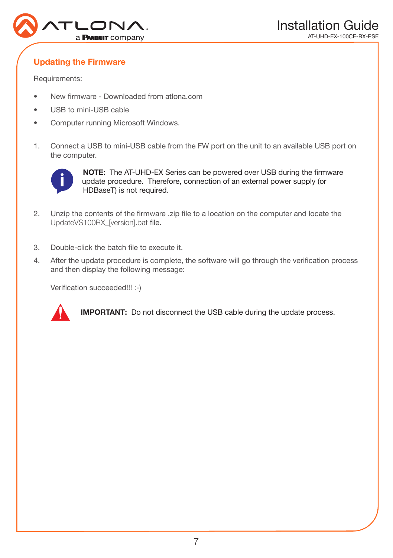

## <span id="page-6-0"></span>Updating the Firmware

Requirements:

- New firmware Downloaded from atlona.com
- USB to mini-USB cable
- Computer running Microsoft Windows.
- 1. Connect a USB to mini-USB cable from the FW port on the unit to an available USB port on the computer.



NOTE: The AT-UHD-EX Series can be powered over USB during the firmware update procedure. Therefore, connection of an external power supply (or HDBaseT) is not required.

- 2. Unzip the contents of the firmware .zip file to a location on the computer and locate the UpdateVS100RX\_[version].bat file.
- 3. Double-click the batch file to execute it.
- 4. After the update procedure is complete, the software will go through the verification process and then display the following message:

Verification succeeded!!! :-)



IMPORTANT: Do not disconnect the USB cable during the update process.